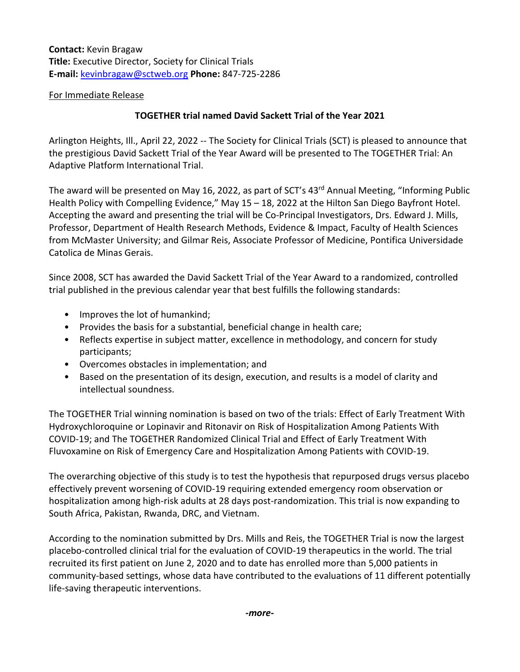**Contact:** Kevin Bragaw **Title:** Executive Director, Society for Clinical Trials **E-mail:** [kevinbragaw@sctweb.org](mailto:kevinbragaw@sctweb.org) **Phone:** 847-725-2286

## For Immediate Release

## **TOGETHER trial named David Sackett Trial of the Year 2021**

Arlington Heights, Ill., April 22, 2022 -- The Society for Clinical Trials (SCT) is pleased to announce that the prestigious David Sackett Trial of the Year Award will be presented to The TOGETHER Trial: An Adaptive Platform International Trial.

The award will be presented on May 16, 2022, as part of SCT's 43<sup>rd</sup> Annual Meeting, "Informing Public Health Policy with Compelling Evidence," May 15 – 18, 2022 at the Hilton San Diego Bayfront Hotel. Accepting the award and presenting the trial will be Co-Principal Investigators, Drs. Edward J. Mills, Professor, Department of Health Research Methods, Evidence & Impact, Faculty of Health Sciences from McMaster University; and Gilmar Reis, Associate Professor of Medicine, Pontifica Universidade Catolica de Minas Gerais.

Since 2008, SCT has awarded the David Sackett Trial of the Year Award to a randomized, controlled trial published in the previous calendar year that best fulfills the following standards:

- Improves the lot of humankind;
- Provides the basis for a substantial, beneficial change in health care;
- Reflects expertise in subject matter, excellence in methodology, and concern for study participants;
- Overcomes obstacles in implementation; and
- Based on the presentation of its design, execution, and results is a model of clarity and intellectual soundness.

The TOGETHER Trial winning nomination is based on two of the trials: Effect of Early Treatment With Hydroxychloroquine or Lopinavir and Ritonavir on Risk of Hospitalization Among Patients With COVID-19; and The TOGETHER Randomized Clinical Trial and Effect of Early Treatment With Fluvoxamine on Risk of Emergency Care and Hospitalization Among Patients with COVID-19.

The overarching objective of this study is to test the hypothesis that repurposed drugs versus placebo effectively prevent worsening of COVID-19 requiring extended emergency room observation or hospitalization among high-risk adults at 28 days post-randomization. This trial is now expanding to South Africa, Pakistan, Rwanda, DRC, and Vietnam.

According to the nomination submitted by Drs. Mills and Reis, the TOGETHER Trial is now the largest placebo-controlled clinical trial for the evaluation of COVID-19 therapeutics in the world. The trial recruited its first patient on June 2, 2020 and to date has enrolled more than 5,000 patients in community-based settings, whose data have contributed to the evaluations of 11 different potentially life-saving therapeutic interventions.